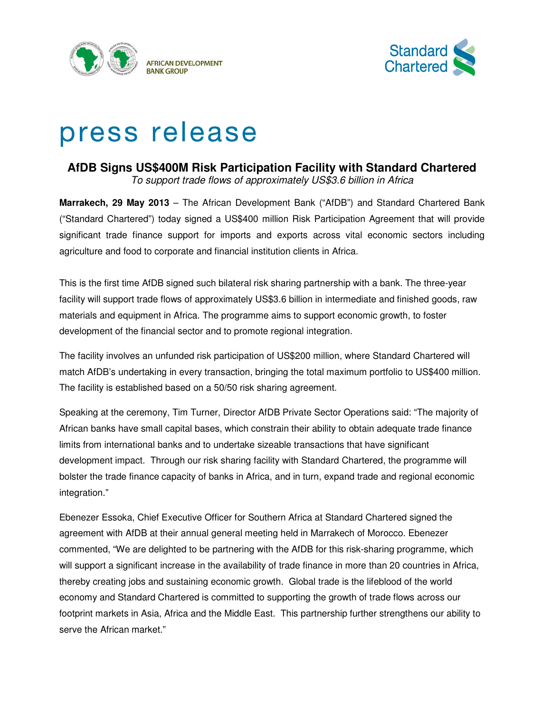



# press release

# **AfDB Signs US\$400M Risk Participation Facility with Standard Chartered**

To support trade flows of approximately US\$3.6 billion in Africa

**Marrakech, 29 May 2013** – The African Development Bank ("AfDB") and Standard Chartered Bank ("Standard Chartered") today signed a US\$400 million Risk Participation Agreement that will provide significant trade finance support for imports and exports across vital economic sectors including agriculture and food to corporate and financial institution clients in Africa.

This is the first time AfDB signed such bilateral risk sharing partnership with a bank. The three-year facility will support trade flows of approximately US\$3.6 billion in intermediate and finished goods, raw materials and equipment in Africa. The programme aims to support economic growth, to foster development of the financial sector and to promote regional integration.

The facility involves an unfunded risk participation of US\$200 million, where Standard Chartered will match AfDB's undertaking in every transaction, bringing the total maximum portfolio to US\$400 million. The facility is established based on a 50/50 risk sharing agreement.

Speaking at the ceremony, Tim Turner, Director AfDB Private Sector Operations said: "The majority of African banks have small capital bases, which constrain their ability to obtain adequate trade finance limits from international banks and to undertake sizeable transactions that have significant development impact. Through our risk sharing facility with Standard Chartered, the programme will bolster the trade finance capacity of banks in Africa, and in turn, expand trade and regional economic integration."

Ebenezer Essoka, Chief Executive Officer for Southern Africa at Standard Chartered signed the agreement with AfDB at their annual general meeting held in Marrakech of Morocco. Ebenezer commented, "We are delighted to be partnering with the AfDB for this risk-sharing programme, which will support a significant increase in the availability of trade finance in more than 20 countries in Africa, thereby creating jobs and sustaining economic growth. Global trade is the lifeblood of the world economy and Standard Chartered is committed to supporting the growth of trade flows across our footprint markets in Asia, Africa and the Middle East. This partnership further strengthens our ability to serve the African market."